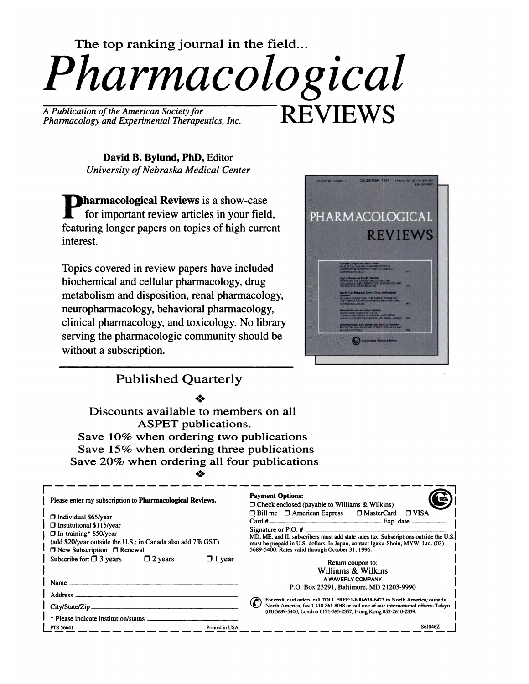

*Pharmacology and Experimental Therapeutics, Inc.*

David B. Bylund, PhD, Editor *University of Nebraska Medical Center* 

**Pharmacological Reviews** is a show-case for important review articles in your field, featuring longer papers on topics of high current interest.

Topics covered in review papers have included biochemical and cellular pharmacology, drug metabolism and disposition, renal pharmacology, neuropharmacology, behavioral pharmacology, clinical pharmacology, and toxicology. No library serving the pharmacologic community should be without a subscription.



## Published Quarterly

#{149}:#{149}

Discounts available to members on all ASPET publications. Save 10% when ordering two publications Save 15% when ordering three publications Save 20% when ordering all four publications

| Please enter my subscription to <b>Pharmacological Reviews.</b><br>$\Box$ Individual \$65/year<br>$\Box$ Institutional \$115/year<br>$\Box$ In-training* \$50/year<br>(add \$20/year outside the U.S.; in Canada also add 7% GST)<br>$\Box$ New Subscription $\Box$ Renewal |                | <b>Payment Options:</b><br>$\Box$ Check enclosed (payable to Williams & Wilkins)<br>□ Bill me □ American Express □ MasterCard □ VISA<br>$Card \#$ Exp. date $\Box$<br>MD, ME, and IL subscribers must add state sales tax. Subscriptions outside the U.S.<br>must be prepaid in U.S. dollars. In Japan, contact Igaku-Shoin, MYW, Ltd. (03)<br>5689-5400. Rates valid through October 31, 1996. |  |
|-----------------------------------------------------------------------------------------------------------------------------------------------------------------------------------------------------------------------------------------------------------------------------|----------------|-------------------------------------------------------------------------------------------------------------------------------------------------------------------------------------------------------------------------------------------------------------------------------------------------------------------------------------------------------------------------------------------------|--|
| Subscribe for: $\Box$ 3 years<br>$\Box$ 2 years<br>Name                                                                                                                                                                                                                     | $\Box$ 1 year  | Return coupon to:<br>Williams & Wilkins<br>A WAVERLY COMPANY<br>P.O. Box 23291. Baltimore. MD 21203-9990                                                                                                                                                                                                                                                                                        |  |
| Address _<br>City/State/Zip.<br>* Please indicate institution/status -                                                                                                                                                                                                      |                | For credit card orders, call TOLL FREE:1-800-638-6423 in North America; outside<br>North America, fax 1-410-361-8048 or call one of our international offices: Tokyo<br>(03) 5689-5400, London 0171-385-2357, Hong Kong 852-2610-2339.                                                                                                                                                          |  |
| PTS 56641                                                                                                                                                                                                                                                                   | Printed in USA | S6J046Z                                                                                                                                                                                                                                                                                                                                                                                         |  |

#{149}:#{149}